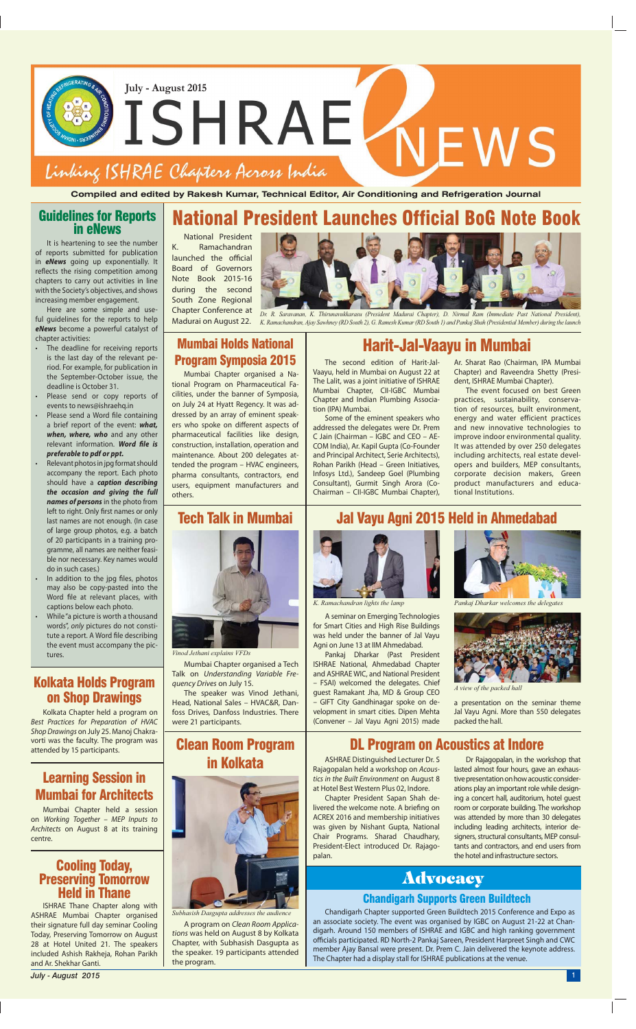Mumbai Chapter organised a Tech Talk on *Understanding Variable Frequency Drives* on July 15.

The speaker was Vinod Jethani, Head, National Sales – HVAC&R, Danfoss Drives, Danfoss Industries. There were 21 participants.

A program on *Clean Room Applications* was held on August 8 by Kolkata Chapter, with Subhasish Dasgupta as the speaker. 19 participants attended the program.

## **Advocacy**

A seminar on Emerging Technologies for Smart Cities and High Rise Buildings was held under the banner of Jal Vayu Agni on June 13 at IIM Ahmedabad.

Pankaj Dharkar (Past President ISHRAE National, Ahmedabad Chapter and ASHRAE WIC, and National President – FSAI) welcomed the delegates. Chief guest Ramakant Jha, MD & Group CEO – GIFT City Gandhinagar spoke on development in smart cities. Dipen Mehta (Convener – Jal Vayu Agni 2015) made

*Subhasish Dasgupta addresses the audience*



*K. Ramachandran lights the lamp Pankaj Dharkar welcomes the delegates*

## National President Launches Official BoG Note Book

National President K. Ramachandran launched the official Board of Governors Note Book 2015-16 during the second South Zone Regional

Chapter Conference at<br>Madurai on August 22. Eriapter Cornererree de Br. R. Saravanan, K. Thirunavukkarasu (President Madurai Chapter), D. Nirmal Ram (Immediate Past National President),<br>Madurai on August 22. K. Ramachandran, Ajay Sawhney (RD South 2), G. Ramesh Kuma

**Compiled and edited by Rakesh Kumar, Technical Editor, Air Conditioning and Refrigeration Journal**



#### Tech Talk in Mumbai

## Clean Room Program in Kolkata



- The deadline for receiving reports is the last day of the relevant period. For example, for publication in the September-October issue, the deadline is October 31.
- Please send or copy reports of events to news@ishraehq.in
- Please send a Word file containing a brief report of the event: *what, when, where, who* and any other relevant information. Word file is *preferable to pdf or ppt.*
- Relevant photos in jpg format should accompany the report. Each photo should have a *caption describing the occasion and giving the full names of persons* in the photo from left to right. Only first names or only last names are not enough. (In case of large group photos, e.g. a batch of 20 participants in a training programme, all names are neither feasible nor necessary. Key names would do in such cases.)
- In addition to the jpg files, photos may also be copy-pasted into the Word file at relevant places, with captions below each photo.
- While "a picture is worth a thousand words", *only* pictures do not constitute a report. A Word file describing the event must accompany the pictures.

### Jal Vayu Agni 2015 Held in Ahmedabad



## Guidelines for Reports in eNews

It is heartening to see the number of reports submitted for publication in *eNews* going up exponentially. It reflects the rising competition among chapters to carry out activities in line with the Society's objectives, and shows increasing member engagement.

Here are some simple and useful guidelines for the reports to help *eNews* become a powerful catalyst of chapter activities:

# Cooling Today, Preserving Tomorrow Held in Thane

ISHRAE Thane Chapter along with ASHRAE Mumbai Chapter organised their signature full day seminar Cooling Today, Preserving Tomorrow on August 28 at Hotel United 21. The speakers included Ashish Rakheja, Rohan Parikh and Ar. Shekhar Ganti.

### Learning Session in

#### Mumbai for Architects

Mumbai Chapter held a session on *Working Together – MEP Inputs to Architects* on August 8 at its training centre.

#### Kolkata Holds Program on Shop Drawings

Kolkata Chapter held a program on *Best Practices for Preparation of HVAC Shop Drawings* on July 25. Manoj Chakravorti was the faculty. The program was

ASHRAE Distinguished Lecturer Dr. S Rajagopalan held a workshop on *Acoustics in the Built Environment* on August 8 at Hotel Best Western Plus 02, Indore. Chapter President Sapan Shah delivered the welcome note. A briefing on ACREX 2016 and membership initiatives was given by Nishant Gupta, National Chair Programs. Sharad Chaudhary, President-Elect introduced Dr. Rajagopalan.

#### Mumbai Holds National Program Symposia 2015

Mumbai Chapter organised a National Program on Pharmaceutical Facilities, under the banner of Symposia, on July 24 at Hyatt Regency. It was addressed by an array of eminent speakers who spoke on different aspects of pharmaceutical facilities like design, construction, installation, operation and maintenance. About 200 delegates attended the program – HVAC engineers, pharma consultants, contractors, end users, equipment manufacturers and others.

## Harit-Jal-Vaayu in Mumbai

The second edition of Harit-Jal-Vaayu, held in Mumbai on August 22 at The Lalit, was a joint initiative of ISHRAE Mumbai Chapter, CII-IGBC Mumbai Chapter and Indian Plumbing Association (IPA) Mumbai.

Some of the eminent speakers who addressed the delegates were Dr. Prem C Jain (Chairman – IGBC and CEO – AE-COM India), Ar. Kapil Gupta (Co-Founder and Principal Architect, Serie Architects), Rohan Parikh (Head – Green Initiatives, Infosys Ltd.), Sandeep Goel (Plumbing Consultant), Gurmit Singh Arora (Co-Chairman – CII-IGBC Mumbai Chapter),

Ar. Sharat Rao (Chairman, IPA Mumbai Chapter) and Raveendra Shetty (President, ISHRAE Mumbai Chapter).

The event focused on best Green practices, sustainability, conservation of resources, built environment, energy and water efficient practices and new innovative technologies to improve indoor environmental quality. It was attended by over 250 delegates including architects, real estate developers and builders, MEP consultants, corporate decision makers, Green product manufacturers and educational Institutions.



*Vinod Jethani explains VFDs*



*A view of the packed hall*

a presentation on the seminar theme Jal Vayu Agni. More than 550 delegates packed the hall.

## vorti was the faculty. The program was **Clean Room Program (2008)** DL Program on Acoustics at Indore

Dr Rajagopalan, in the workshop that lasted almost four hours, gave an exhaustive presentation on how acoustic considerations play an important role while designing a concert hall, auditorium, hotel guest room or corporate building. The workshop was attended by more than 30 delegates including leading architects, interior designers, structural consultants, MEP consultants and contractors, and end users from the hotel and infrastructure sectors.

#### Chandigarh Supports Green Buildtech

Chandigarh Chapter supported Green Buildtech 2015 Conference and Expo as an associate society. The event was organised by IGBC on August 21-22 at Chandigarh. Around 150 members of ISHRAE and IGBC and high ranking government officials participated. RD North-2 Pankaj Sareen, President Harpreet Singh and CWC member Ajay Bansal were present. Dr. Prem C. Jain delivered the keynote address. The Chapter had a display stall for ISHRAE publications at the venue.

*July - August 2015* <sup>1</sup>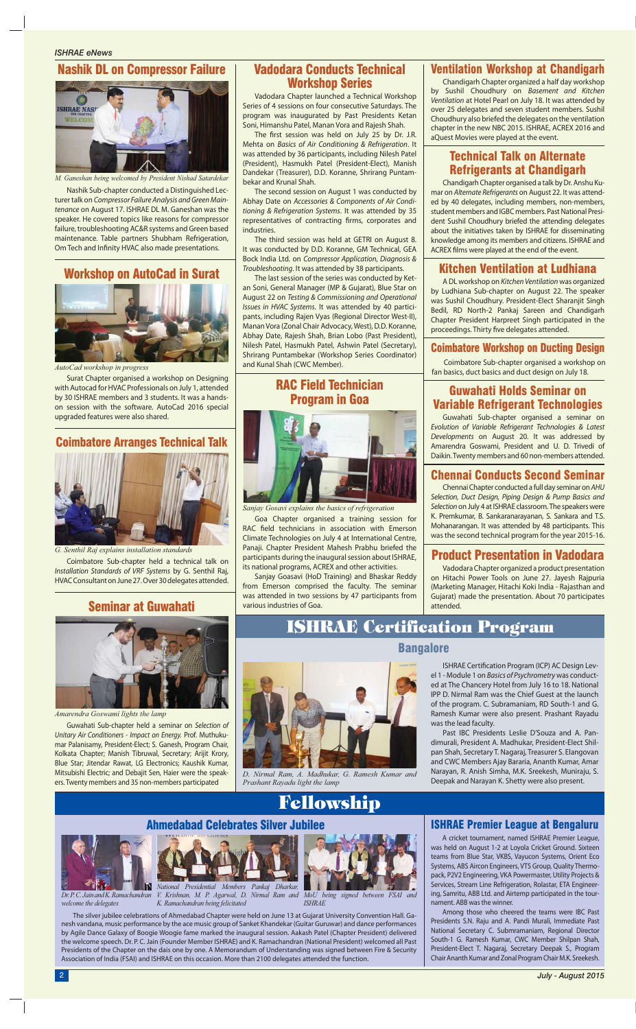## ISHRAE Certification Program

## Fellowship



#### Vadodara Conducts Technical Workshop Series

#### Product Presentation in Vadodara

Vadodara Chapter organized a product presentation on Hitachi Power Tools on June 27. Jayesh Rajpuria (Marketing Manager, Hitachi Koki India - Rajasthan and Gujarat) made the presentation. About 70 participates attended.

#### Chennai Conducts Second Seminar

Chennai Chapter conducted a full day seminar on *AHU Selection, Duct Design, Piping Design & Pump Basics and Selection* on July 4 at ISHRAE classroom. The speakers were K. Premkumar, B. Sankaranarayanan, S. Sankara and T.S. Mohanarangan. It was attended by 48 participants. This was the second technical program for the year 2015-16.

Chandigarh Chapter organised a talk by Dr. Anshu Kumar on *Alternate Refrigerants* on August 22. It was attended by 40 delegates, including members, non-members, student members and IGBC members. Past National President Sushil Choudhury briefed the attending delegates about the initiatives taken by ISHRAE for disseminating knowledge among its members and citizens. ISHRAE and ACREX films were played at the end of the event.

#### Ventilation Workshop at Chandigarh

Chandigarh Chapter organized a half day workshop by Sushil Choudhury on *Basement and Kitchen Ventilation* at Hotel Pearl on July 18. It was attended by over 25 delegates and seven student members. Sushil Choudhury also briefed the delegates on the ventilation chapter in the new NBC 2015. ISHRAE, ACREX 2016 and aQuest Movies were played at the event.

#### Technical Talk on Alternate Refrigerants at Chandigarh

The first session was held on July 25 by Dr. J.R. Mehta on *Basics of Air Conditioning & Refrigeration*. It was attended by 36 participants, including Nilesh Patel (President), Hasmukh Patel (President-Elect), Manish Dandekar (Treasurer), D.D. Koranne, Shrirang Puntambekar and Krunal Shah.

#### Coimbatore Workshop on Ducting Design

Coimbatore Sub-chapter organised a workshop on fan basics, duct basics and duct design on July 18.

Nashik Sub-chapter conducted a Distinguished Lecturer talk on *Compressor Failure Analysis and Green Maintenance* on August 17. ISHRAE DL M. Ganeshan was the speaker. He covered topics like reasons for compressor failure, troubleshooting AC&R systems and Green based maintenance. Table partners Shubham Refrigeration, Om Tech and Infinity HVAC also made presentations.

#### Guwahati Holds Seminar on Variable Refrigerant Technologies

Guwahati Sub-chapter organised a seminar on *Evolution of Variable Refrigerant Technologies & Latest Developments* on August 20. It was addressed by Amarendra Goswami, President and U. D. Trivedi of Daikin. Twenty members and 60 non-members attended.

Vadodara Chapter launched a Technical Workshop Series of 4 sessions on four consecutive Saturdays. The program was inaugurated by Past Presidents Ketan Soni, Himanshu Patel, Manan Vora and Rajesh Shah.

The second session on August 1 was conducted by Abhay Date on *Accessories & Components of Air Conditioning & Refrigeration Systems*. It was attended by 35 representatives of contracting firms, corporates and industries.

The third session was held at GETRI on August 8. It was conducted by D.D. Koranne, GM Technical, GEA Bock India Ltd. on *Compressor Application, Diagnosis & Troubleshooting*. It was attended by 38 participants.

> ISHRAE Certification Program (ICP) AC Design Level 1 - Module 1 on *Basics of Psychrometry* was conducted at The Chancery Hotel from July 16 to 18. National IPP D. Nirmal Ram was the Chief Guest at the launch of the program. C. Subramaniam, RD South-1 and G. Ramesh Kumar were also present. Prashant Rayadu was the lead faculty.

A DL workshop on *Kitchen Ventilation* was organized by Ludhiana Sub-chapter on August 22. The speaker was Sushil Choudhury. President-Elect Sharanjit Singh Bedil, RD North-2 Pankaj Sareen and Chandigarh Chapter President Harpreet Singh participated in the proceedings. Thirty five delegates attended.

The last session of the series was conducted by Ketan Soni, General Manager (MP & Gujarat), Blue Star on August 22 on *Testing & Commissioning and Operational Issues in HVAC Systems*. It was attended by 40 participants, including Rajen Vyas (Regional Director West-II), Manan Vora (Zonal Chair Advocacy, West), D.D. Koranne, Abhay Date, Rajesh Shah, Brian Lobo (Past President), Nilesh Patel, Hasmukh Patel, Ashwin Patel (Secretary), Shrirang Puntambekar (Workshop Series Coordinator) and Kunal Shah (CWC Member).

#### Nashik DL on Compressor Failure



*M. Ganeshan being welcomed by President Nishad Satardekar*

Surat Chapter organised a workshop on Designing with Autocad for HVAC Professionals on July 1, attended by 30 ISHRAE members and 3 students. It was a handson session with the software. AutoCad 2016 special upgraded features were also shared.

#### Workshop on AutoCad in Surat



*AutoCad workshop in progress*

#### Coimbatore Arranges Technical Talk

Coimbatore Sub-chapter held a technical talk on *Installation Standards of VRF Systems* by G. Senthil Raj, HVAC Consultant on June 27. Over 30 delegates attended.



*G. Senthil Raj explains installation standards*

#### RAC Field Technician Program in Goa



Goa Chapter organised a training session for RAC field technicians in association with Emerson Climate Technologies on July 4 at International Centre, Panaji. Chapter President Mahesh Prabhu briefed the participants during the inaugural session about ISHRAE, its national programs, ACREX and other activities.

Sanjay Goasavi (HoD Training) and Bhaskar Reddy from Emerson comprised the faculty. The seminar was attended in two sessions by 47 participants from various industries of Goa.

*Sanjay Gosavi explains the basics of refrigeration*

#### Seminar at Guwahati

Guwahati Sub-chapter held a seminar on *Selection of Unitary Air Conditioners - Impact on Energy.* Prof. Muthukumar Palanisamy, President-Elect; S. Ganesh, Program Chair, Kolkata Chapter; Manish Tibruwal, Secretary; Arijit Krory, Blue Star; Jitendar Rawat, LG Electronics; Kaushik Kumar, Mitsubishi Electric; and Debajit Sen, Haier were the speakers. Twenty members and 35 non-members participated



*Amarendra Goswami lights the lamp*

#### Bangalore



*D. Nirmal Ram, A. Madhukar, G. Ramesh Kumar and Prashant Rayadu light the lamp*

Past IBC Presidents Leslie D'Souza and A. Pandimurali, President A. Madhukar, President-Elect Shilpan Shah, Secretary T. Nagaraj, Treasurer S. Elangovan and CWC Members Ajay Bararia, Ananth Kumar, Amar Narayan, R. Anish Simha, M.K. Sreekesh, Muniraju, S. Deepak and Narayan K. Shetty were also present.

#### Kitchen Ventilation at Ludhiana

The silver jubilee celebrations of Ahmedabad Chapter were held on June 13 at Gujarat University Convention Hall. Ganesh vandana, music performance by the ace music group of Sanket Khandekar (Guitar Guruwar) and dance performances by Agile Dance Galaxy of Boogie Woogie fame marked the inaugural session. Aakash Patel (Chapter President) delivered the welcome speech. Dr. P. C. Jain (Founder Member ISHRAE) and K. Ramachandran (National President) welcomed all Past Presidents of the Chapter on the dais one by one. A Memorandum of Understanding was signed between Fire & Security Association of India (FSAI) and ISHRAE on this occasion. More than 2100 delegates attended the function.

#### Ahmedabad Celebrates Silver Jubilee **International State International ISHRAE** Premier League at Bengaluru

*Dr. P. C. Jain and K. Ramachandran welcome the delegates*



*V. Krishnan, M. P. Agarwal, D. Nirmal Ram and K. Ramachandran being felicitated*



*MoU being signed between FSAI and ISHRAE*

A cricket tournament, named ISHRAE Premier League, was held on August 1-2 at Loyola Cricket Ground. Sixteen teams from Blue Star, VKBS, Vayucon Systems, Orient Eco Systems, ABS Aircon Engineers, VTS Group, Quality Thermopack, P2V2 Engineering, VKA Powermaster, Utility Projects & Services, Stream Line Refrigeration, Rolastar, ETA Engineering, Samritu, ABB Ltd. and Airtemp participated in the tournament. ABB was the winner.

Among those who cheered the teams were IBC Past Presidents S.N. Raju and A. Pandi Murali, Immediate Past National Secretary C. Submramaniam, Regional Director South-1 G. Ramesh Kumar, CWC Member Shilpan Shah, President-Elect T. Nagaraj, Secretary Deepak S., Program Chair Ananth Kumar and Zonal Program Chair M.K. Sreekesh.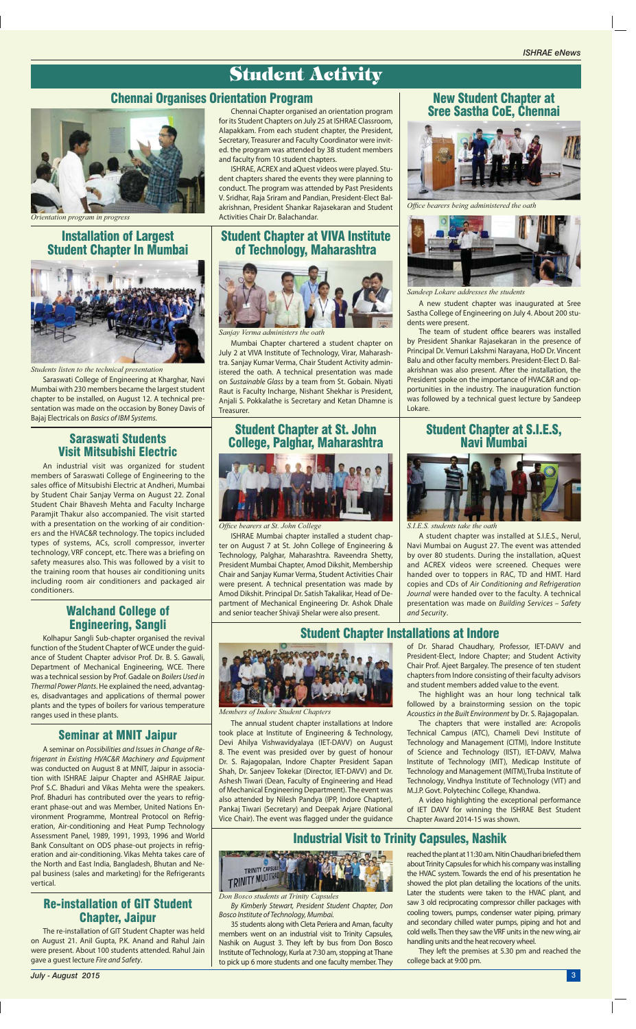#### New Student Chapter at Sree Sastha CoE, Chennai

#### Chennai Organises Orientation Program

#### Student Chapter Installations at Indore

#### Installation of Largest Student Chapter In Mumbai

#### Student Chapter at VIVA Institute of Technology, Maharashtra

#### Student Chapter at St. John College, Palghar, Maharashtra



**Office bearers at St. John College** 

#### Industrial Visit to Trinity Capsules, Nashik

#### Student Chapter at S.I.E.S, Navi Mumbai

A new student chapter was inaugurated at Sree Sastha College of Engineering on July 4. About 200 students were present.

The team of student office bearers was installed by President Shankar Rajasekaran in the presence of Principal Dr. Vemuri Lakshmi Narayana, HoD Dr. Vincent Balu and other faculty members. President-Elect D. Balakrishnan was also present. After the installation, the President spoke on the importance of HVAC&R and opportunities in the industry. The inauguration function was followed by a technical guest lecture by Sandeep Lokare.

Chennai Chapter organised an orientation program for its Student Chapters on July 25 at ISHRAE Classroom, Alapakkam. From each student chapter, the President, Secretary, Treasurer and Faculty Coordinator were invited. the program was attended by 38 student members and faculty from 10 student chapters.

ISHRAE, ACREX and aQuest videos were played. Student chapters shared the events they were planning to conduct. The program was attended by Past Presidents V. Sridhar, Raja Sriram and Pandian, President-Elect Balakrishnan, President Shankar Rajasekaran and Student Activities Chair Dr. Balachandar.

> of Dr. Sharad Chaudhary, Professor, IET-DAVV and President-Elect, Indore Chapter; and Student Activity Chair Prof. Ajeet Bargaley. The presence of ten student chapters from Indore consisting of their faculty advisors and student members added value to the event.

> The highlight was an hour long technical talk followed by a brainstorming session on the topic *Acoustics in the Built Environment* by Dr. S. Rajagopalan.

> The chapters that were installed are: Acropolis Technical Campus (ATC), Chameli Devi Institute of Technology and Management (CITM), Indore Institute of Science and Technology (IIST), IET-DAVV, Malwa Institute of Technology (MIT), Medicap Institute of Technology and Management (MITM),Truba Institute of Technology, Vindhya Institute of Technology (VIT) and

M.J.P. Govt. Polytechinc College, Khandwa.

A video highlighting the exceptional performance of IET DAVV for winning the ISHRAE Best Student Chapter Award 2014-15 was shown.



Saraswati College of Engineering at Kharghar, Navi Mumbai with 230 members became the largest student chapter to be installed, on August 12. A technical presentation was made on the occasion by Boney Davis of Bajaj Electricals on *Basics of IBM Systems*.

Mumbai Chapter chartered a student chapter on July 2 at VIVA Institute of Technology, Virar, Maharashtra. Sanjay Kumar Verma, Chair Student Activity administered the oath. A technical presentation was made on *Sustainable Glass* by a team from St. Gobain. Niyati Raut is Faculty Incharge, Nishant Shekhar is President, Anjali S. Pokkalathe is Secretary and Ketan Dhamne is Treasurer.

ISHRAE Mumbai chapter installed a student chapter on August 7 at St. John College of Engineering & Technology, Palghar, Maharashtra. Raveendra Shetty, President Mumbai Chapter, Amod Dikshit, Membership Chair and Sanjay Kumar Verma, Student Activities Chair were present. A technical presentation was made by Amod Dikshit. Principal Dr. Satish Takalikar, Head of Department of Mechanical Engineering Dr. Ashok Dhale and senior teacher Shivaji Shelar were also present.

*By Kimberly Stewart, President Student Chapter, Don Bosco Institute of Technology, Mumbai.*

of Mechanical Engineering Department). The event was also attended by Nilesh Pandya (IPP, Indore Chapter), Pankaj Tiwari (Secretary) and Deepak Arjare (National Vice Chair). The event was flagged under the guidance

35 students along with Cleta Periera and Aman, faculty members went on an industrial visit to Trinity Capsules, Nashik on August 3. They left by bus from Don Bosco Institute of Technology, Kurla at 7:30 am, stopping at Thane to pick up 6 more students and one faculty member. They

A student chapter was installed at S.I.E.S., Nerul, Navi Mumbai on August 27. The event was attended by over 80 students. During the installation, aQuest and ACREX videos were screened. Cheques were handed over to toppers in RAC, TD and HMT. Hard copies and CDs of *Air Conditioning and Refrigeration Journal* were handed over to the faculty. A technical presentation was made on *Building Services – Safety and Security*.

#### Saraswati Students Visit Mitsubishi Electric

#### Walchand College of Engineering, Sangli

#### Seminar at MNIT Jaipur

#### Re-installation of GIT Student Chapter, Jaipur

An industrial visit was organized for student members of Saraswati College of Engineering to the sales office of Mitsubishi Electric at Andheri, Mumbai by Student Chair Sanjay Verma on August 22. Zonal Student Chair Bhavesh Mehta and Faculty Incharge Paramjit Thakur also accompanied. The visit started with a presentation on the working of air conditioners and the HVAC&R technology. The topics included types of systems, ACs, scroll compressor, inverter technology, VRF concept, etc. There was a briefing on safety measures also. This was followed by a visit to the training room that houses air conditioning units including room air conditioners and packaged air conditioners.

Kolhapur Sangli Sub-chapter organised the revival function of the Student Chapter of WCE under the guidance of Student Chapter advisor Prof. Dr. B. S. Gawali, Department of Mechanical Engineering, WCE. There was a technical session by Prof. Gadale on *Boilers Used in Thermal Power Plants*. He explained the need, advantages, disadvantages and applications of thermal power plants and the types of boilers for various temperature ranges used in these plants.

A seminar on *Possibilities and Issues in Change of Refrigerant in Existing HVAC&R Machinery and Equipment* was conducted on August 8 at MNIT, Jaipur in association with ISHRAE Jaipur Chapter and ASHRAE Jaipur. Prof S.C. Bhaduri and Vikas Mehta were the speakers. Prof. Bhaduri has contributed over the years to refrigerant phase-out and was Member, United Nations Environment Programme, Montreal Protocol on Refrigeration, Air-conditioning and Heat Pump Technology Assessment Panel, 1989, 1991, 1993, 1996 and World Bank Consultant on ODS phase-out projects in refrigeration and air-conditioning. Vikas Mehta takes care of the North and East India, Bangladesh, Bhutan and Nepal business (sales and marketing) for the Refrigerants vertical.

The re-installation of GIT Student Chapter was held on August 21. Anil Gupta, P.K. Anand and Rahul Jain were present. About 100 students attended. Rahul Jain gave a guest lecture *Fire and Safety*.



*Offi ce bearers being administered the oath*



*Sandeep Lokare addresses the students*



*Orientation program in progress*



*Members of Indore Student Chapters*



*Students listen to the technical presentation*



*Sanjay Verma administers the oath*

*Don Bosco students at Trinity Capsules*



*S.I.E.S. students take the oath*

## Student Activity

The annual student chapter installations at Indore took place at Institute of Engineering & Technology, Devi Ahilya Vishwavidyalaya (IET-DAVV) on August 8. The event was presided over by guest of honour Dr. S. Rajagopalan, Indore Chapter President Sapan Shah, Dr. Sanjeev Tokekar (Director, IET-DAVV) and Dr. Ashesh Tiwari (Dean, Faculty of Engineering and Head

> reached the plant at 11:30 am. Nitin Chaudhari briefed them about Trinity Capsules for which his company was installing the HVAC system. Towards the end of his presentation he showed the plot plan detailing the locations of the units. Later the students were taken to the HVAC plant, and saw 3 old reciprocating compressor chiller packages with cooling towers, pumps, condenser water piping, primary and secondary chilled water pumps, piping and hot and cold wells. Then they saw the VRF units in the new wing, air handling units and the heat recovery wheel.

> They left the premises at 5.30 pm and reached the college back at 9:00 pm.